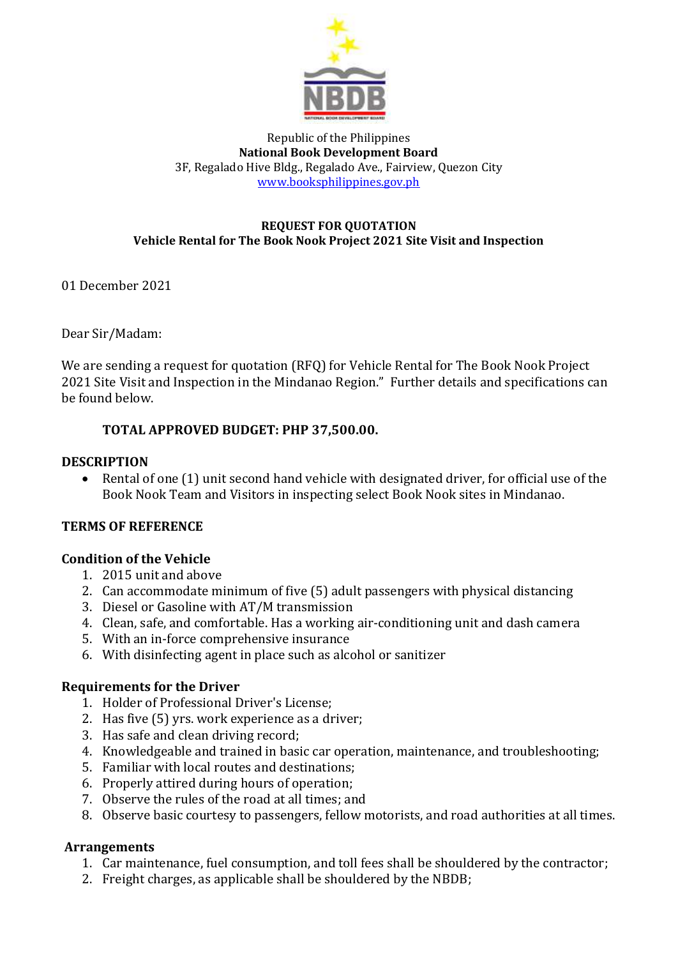

Republic of the Philippines **National Book Development Board** 3F, Regalado Hive Bldg., Regalado Ave., Fairview, Quezon City [www.booksphilippines.gov.ph](http://www.booksphilippines.gov.ph/)

#### **REQUEST FOR QUOTATION Vehicle Rental for The Book Nook Project 2021 Site Visit and Inspection**

01 December 2021

Dear Sir/Madam:

We are sending a request for quotation (RFQ) for Vehicle Rental for The Book Nook Project 2021 Site Visit and Inspection in the Mindanao Region." Further details and specifications can be found below.

## **TOTAL APPROVED BUDGET: PHP 37,500.00.**

#### **DESCRIPTION**

• Rental of one (1) unit second hand vehicle with designated driver, for official use of the Book Nook Team and Visitors in inspecting select Book Nook sites in Mindanao.

#### **TERMS OF REFERENCE**

#### **Condition of the Vehicle**

- 1. 2015 unit and above
- 2. Can accommodate minimum of five (5) adult passengers with physical distancing
- 3. Diesel or Gasoline with AT/M transmission
- 4. Clean, safe, and comfortable. Has a working air-conditioning unit and dash camera
- 5. With an in-force comprehensive insurance
- 6. With disinfecting agent in place such as alcohol or sanitizer

#### **Requirements for the Driver**

- 1. Holder of Professional Driver's License;
- 2. Has five (5) yrs. work experience as a driver;
- 3. Has safe and clean driving record;
- 4. Knowledgeable and trained in basic car operation, maintenance, and troubleshooting;
- 5. Familiar with local routes and destinations;
- 6. Properly attired during hours of operation;
- 7. Observe the rules of the road at all times; and
- 8. Observe basic courtesy to passengers, fellow motorists, and road authorities at all times.

#### **Arrangements**

- 1. Car maintenance, fuel consumption, and toll fees shall be shouldered by the contractor;
- 2. Freight charges, as applicable shall be shouldered by the NBDB;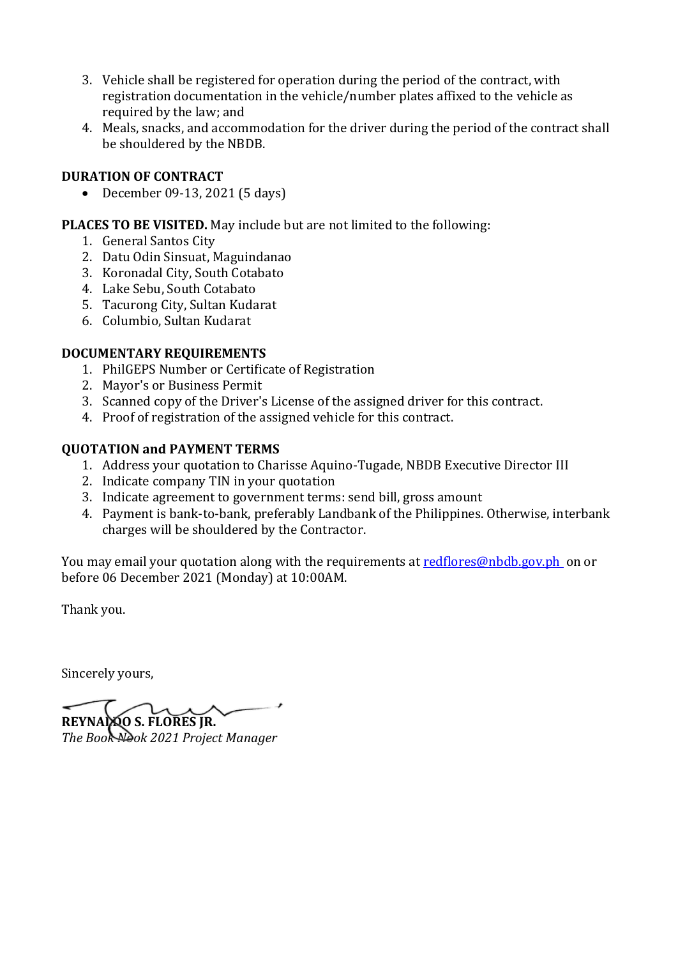- 3. Vehicle shall be registered for operation during the period of the contract, with registration documentation in the vehicle/number plates affixed to the vehicle as required by the law; and
- 4. Meals, snacks, and accommodation for the driver during the period of the contract shall be shouldered by the NBDB.

# **DURATION OF CONTRACT**

• December 09-13, 2021 (5 days)

# **PLACES TO BE VISITED.** May include but are not limited to the following:

- 1. General Santos City
- 2. Datu Odin Sinsuat, Maguindanao
- 3. Koronadal City, South Cotabato
- 4. Lake Sebu, South Cotabato
- 5. Tacurong City, Sultan Kudarat
- 6. Columbio, Sultan Kudarat

# **DOCUMENTARY REQUIREMENTS**

- 1. PhilGEPS Number or Certificate of Registration
- 2. Mayor's or Business Permit
- 3. Scanned copy of the Driver's License of the assigned driver for this contract.
- 4. Proof of registration of the assigned vehicle for this contract.

## **QUOTATION and PAYMENT TERMS**

- 1. Address your quotation to Charisse Aquino-Tugade, NBDB Executive Director III
- 2. Indicate company TIN in your quotation
- 3. Indicate agreement to government terms: send bill, gross amount
- 4. Payment is bank-to-bank, preferably Landbank of the Philippines. Otherwise, interbank charges will be shouldered by the Contractor.

You may email your quotation along with the requirements at [redflores@nbdb.gov.ph](mailto:redflores@nbdb.gov.ph) on or before 06 December 2021 (Monday) at 10:00AM.

Thank you.

Sincerely yours,

**REYNALDO S. FLORES JR.** *The Book Nook 2021 Project Manager*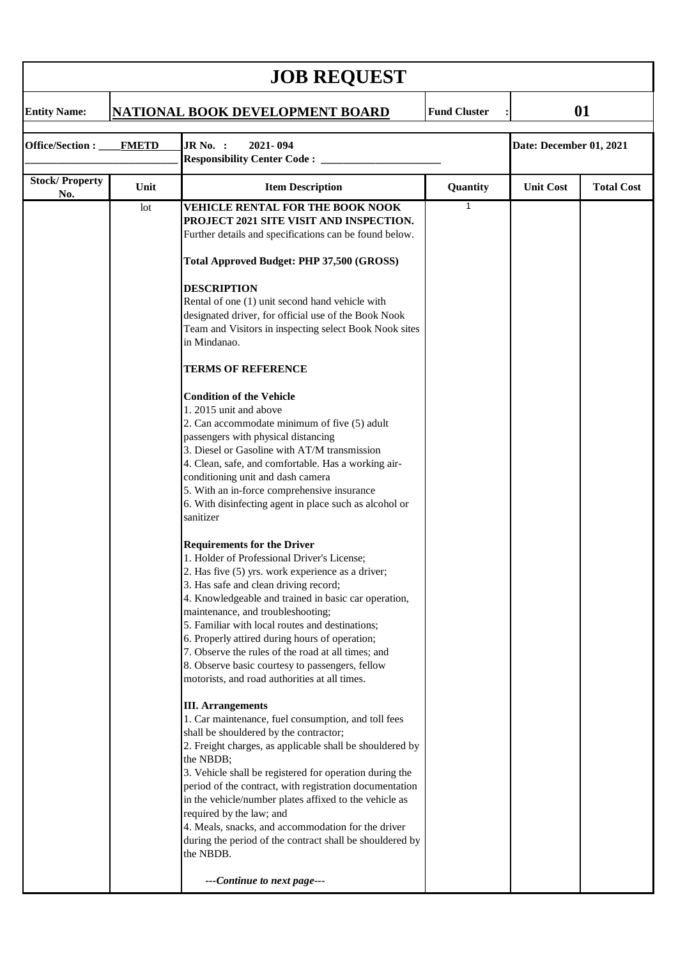| <b>JOB REQUEST</b>               |      |                                                                                                                                                                                                                                                                                                                                                                                                                                                                                                                                                                                                                                                                                                                                                                                                                                                                                                                                                                                                                                                                                                                                                                                                                                                                                                                                                                                                                                                                                                                                                                                                                                                                                                                                                                                                                                                                                                                                                        |             |                         |                   |  |  |  |  |
|----------------------------------|------|--------------------------------------------------------------------------------------------------------------------------------------------------------------------------------------------------------------------------------------------------------------------------------------------------------------------------------------------------------------------------------------------------------------------------------------------------------------------------------------------------------------------------------------------------------------------------------------------------------------------------------------------------------------------------------------------------------------------------------------------------------------------------------------------------------------------------------------------------------------------------------------------------------------------------------------------------------------------------------------------------------------------------------------------------------------------------------------------------------------------------------------------------------------------------------------------------------------------------------------------------------------------------------------------------------------------------------------------------------------------------------------------------------------------------------------------------------------------------------------------------------------------------------------------------------------------------------------------------------------------------------------------------------------------------------------------------------------------------------------------------------------------------------------------------------------------------------------------------------------------------------------------------------------------------------------------------------|-------------|-------------------------|-------------------|--|--|--|--|
| <b>Entity Name:</b>              |      | <b>Fund Cluster</b><br>NATIONAL BOOK DEVELOPMENT BOARD                                                                                                                                                                                                                                                                                                                                                                                                                                                                                                                                                                                                                                                                                                                                                                                                                                                                                                                                                                                                                                                                                                                                                                                                                                                                                                                                                                                                                                                                                                                                                                                                                                                                                                                                                                                                                                                                                                 |             |                         | 01                |  |  |  |  |
| Office/Section :<br><b>FMETD</b> |      | JR No. :<br>2021-094<br><b>Responsibility Center Code:</b> _____                                                                                                                                                                                                                                                                                                                                                                                                                                                                                                                                                                                                                                                                                                                                                                                                                                                                                                                                                                                                                                                                                                                                                                                                                                                                                                                                                                                                                                                                                                                                                                                                                                                                                                                                                                                                                                                                                       |             | Date: December 01, 2021 |                   |  |  |  |  |
| <b>Stock/Property</b>            | Unit | <b>Item Description</b>                                                                                                                                                                                                                                                                                                                                                                                                                                                                                                                                                                                                                                                                                                                                                                                                                                                                                                                                                                                                                                                                                                                                                                                                                                                                                                                                                                                                                                                                                                                                                                                                                                                                                                                                                                                                                                                                                                                                | Quantity    | <b>Unit Cost</b>        | <b>Total Cost</b> |  |  |  |  |
| No.                              | lot  | <b>VEHICLE RENTAL FOR THE BOOK NOOK</b><br>PROJECT 2021 SITE VISIT AND INSPECTION.<br>Further details and specifications can be found below.<br>Total Approved Budget: PHP 37,500 (GROSS)<br><b>DESCRIPTION</b><br>Rental of one (1) unit second hand vehicle with<br>designated driver, for official use of the Book Nook<br>Team and Visitors in inspecting select Book Nook sites<br>in Mindanao.<br><b>TERMS OF REFERENCE</b><br><b>Condition of the Vehicle</b><br>1.2015 unit and above<br>2. Can accommodate minimum of five (5) adult<br>passengers with physical distancing<br>3. Diesel or Gasoline with AT/M transmission<br>4. Clean, safe, and comfortable. Has a working air-<br>conditioning unit and dash camera<br>5. With an in-force comprehensive insurance<br>6. With disinfecting agent in place such as alcohol or<br>sanitizer<br><b>Requirements for the Driver</b><br>1. Holder of Professional Driver's License;<br>2. Has five (5) yrs. work experience as a driver;<br>3. Has safe and clean driving record;<br>4. Knowledgeable and trained in basic car operation,<br>maintenance, and troubleshooting;<br>5. Familiar with local routes and destinations;<br>6. Properly attired during hours of operation;<br>7. Observe the rules of the road at all times; and<br>8. Observe basic courtesy to passengers, fellow<br>motorists, and road authorities at all times.<br><b>III.</b> Arrangements<br>1. Car maintenance, fuel consumption, and toll fees<br>shall be shouldered by the contractor;<br>2. Freight charges, as applicable shall be shouldered by<br>the NBDB;<br>3. Vehicle shall be registered for operation during the<br>period of the contract, with registration documentation<br>in the vehicle/number plates affixed to the vehicle as<br>required by the law; and<br>4. Meals, snacks, and accommodation for the driver<br>during the period of the contract shall be shouldered by<br>the NBDB. | $\mathbf 1$ |                         |                   |  |  |  |  |
|                                  |      | ---Continue to next page---                                                                                                                                                                                                                                                                                                                                                                                                                                                                                                                                                                                                                                                                                                                                                                                                                                                                                                                                                                                                                                                                                                                                                                                                                                                                                                                                                                                                                                                                                                                                                                                                                                                                                                                                                                                                                                                                                                                            |             |                         |                   |  |  |  |  |